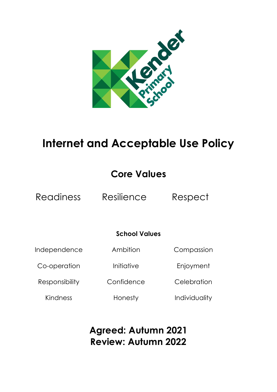

# **Internet and Acceptable Use Policy**

# **Core Values**

Readiness Resilience Respect

## **School Values**

Independence

Ambition

Compassion

Co-operation

Initiative

**Confidence** 

Enjoyment

**Celebration** 

Kindness

Responsibility

Honesty

Individuality

**Agreed: Autumn 2021 Review: Autumn 2022**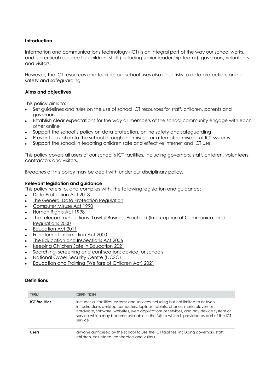#### **Introduction**

Information and communications technology (ICT) is an integral part of the way our school works, and is a critical resource for children, staff (including senior leadership teams), governors, volunteers and visitors.

However, the ICT resources and facilities our school uses also pose risks to data protection, online safety and safeguarding.

#### **Aims and objectives**

This policy aims to:

- Set guidelines and rules on the use of school ICT resources for staff, children, parents and governors
- Establish clear expectations for the way all members of the school community engage with each other online
- Support the school's policy on data protection, online safety and safeguarding
- Prevent disruption to the school through the misuse, or attempted misuse, of ICT systems
- Support the school in teaching children safe and effective internet and ICT use

This policy covers all users of our school's ICT facilities, including governors, staff, children, volunteers, contractors and visitors.

Breaches of this policy may be dealt with under our disciplinary policy.

#### **Relevant legislation and guidance**

This policy refers to, and complies with, the following legislation and guidance:

- Data Protection Act 2018
- **The General Data Protection Regulation**
- Computer Misuse Act 1990
- Human Rights Act 1998
- The Telecommunications (Lawful Business Practice) (Interception of Communications) Regulations 2000
- Education Act 2011
- Freedom of Information Act 2000
- The Education and Inspections Act 2006
- Keeping Children Safe in Education 2021
- Searching, screening and confiscation: advice for schools
- National Cyber Security Centre (NCSC)
- Education and Training (Welfare of Children Act) 2021

#### **Definitions**

| <b>TERM</b>           | <b>DEFINITION</b>                                                                                                                                                                                                                                                                                                                                               |
|-----------------------|-----------------------------------------------------------------------------------------------------------------------------------------------------------------------------------------------------------------------------------------------------------------------------------------------------------------------------------------------------------------|
| <b>ICT</b> facilities | includes all facilities, systems and services including but not limited to network<br>infrastructure, desktop computers, laptops, tablets, phones, music players or<br>hardware, software, websites, web applications or services, and any device system or<br>service which may become available in the future which is provided as part of the ICT<br>service |
| <b>Users</b>          | anyone authorised by the school to use the ICT facilities, including governors, staff,<br>children, volunteers, contractors and visitors                                                                                                                                                                                                                        |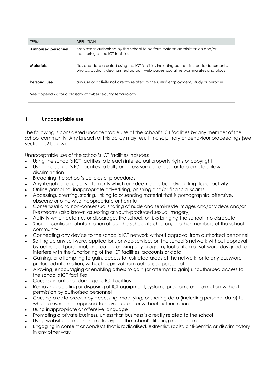| <b>TERM</b>                                                  | <b>DEFINITION</b>                                                                                                                                                             |
|--------------------------------------------------------------|-------------------------------------------------------------------------------------------------------------------------------------------------------------------------------|
| <b>Authorised personnel</b>                                  | employees authorised by the school to perform systems administration and/or<br>monitoring of the ICT facilities                                                               |
| <b>Materials</b>                                             | files and data created using the ICT facilities including but not limited to documents,<br>photos, audio, video, printed output, web pages, social networking sites and blogs |
| Personal use                                                 | any use or activity not directly related to the users' employment, study or purpose                                                                                           |
| See appendix 6 for a glossary of cyber security terminology. |                                                                                                                                                                               |

#### **1 Unacceptable use**

The following is considered unacceptable use of the school's ICT facilities by any member of the school community. Any breach of this policy may result in disciplinary or behaviour proceedings (see section 1.2 below).

Unacceptable use of the school's ICT facilities includes:

- Using the school's ICT facilities to breach intellectual property rights or copyright
- Using the school's ICT facilities to bully or harass someone else, or to promote unlawful discrimination
- Breaching the school's policies or procedures
- Any illegal conduct, or statements which are deemed to be advocating illegal activity
- Online gambling, inappropriate advertising, phishing and/or financial scams
- Accessing, creating, storing, linking to or sending material that is pornographic, offensive, obscene or otherwise inappropriate or harmful
- Consensual and non-consensual sharing of nude and semi-nude images and/or videos and/or livestreams (also known as sexting or youth-produced sexual imagery)
- Activity which defames or disparages the school, or risks bringing the school into disrepute
- Sharing confidential information about the school, its children, or other members of the school community
- Connecting any device to the school's ICT network without approval from authorised personnel
- Setting up any software, applications or web services on the school's network without approval by authorised personnel, or creating or using any program, tool or item of software designed to interfere with the functioning of the ICT facilities, accounts or data
- Gaining, or attempting to gain, access to restricted areas of the network, or to any passwordprotected information, without approval from authorised personnel
- Allowing, encouraging or enabling others to gain (or attempt to gain) unauthorised access to the school's ICT facilities
- Causing intentional damage to ICT facilities
- Removing, deleting or disposing of ICT equipment, systems, programs or information without permission by authorised personnel
- Causing a data breach by accessing, modifying, or sharing data (including personal data) to which a user is not supposed to have access, or without authorisation
- Using inappropriate or offensive language
- Promoting a private business, unless that business is directly related to the school
- Using websites or mechanisms to bypass the school's filtering mechanisms
- Engaging in content or conduct that is radicalised, extremist, racist, anti-Semitic or discriminatory in any other way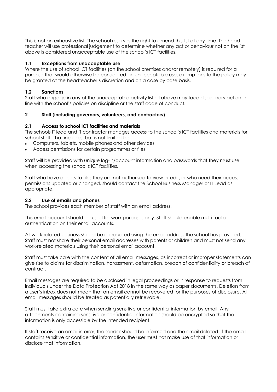This is not an exhaustive list. The school reserves the right to amend this list at any time. The head teacher will use professional judgement to determine whether any act or behaviour not on the list above is considered unacceptable use of the school's ICT facilities.

#### **1.1 Exceptions from unacceptable use**

Where the use of school ICT facilities (on the school premises and/or remotely) is required for a purpose that would otherwise be considered an unacceptable use, exemptions to the policy may be granted at the headteacher's discretion and on a case by case basis.

#### **1.2 Sanctions**

Staff who engage in any of the unacceptable activity listed above may face disciplinary action in line with the school's policies on discipline or the staff code of conduct.

#### **2 Staff (including governors, volunteers, and contractors)**

#### **2.1 Access to school ICT facilities and materials**

The schools IT lead and IT contractor manages access to the school's ICT facilities and materials for school staff. That includes, but is not limited to:

- Computers, tablets, mobile phones and other devices
- Access permissions for certain programmes or files

Staff will be provided with unique log-in/account information and passwords that they must use when accessing the school's ICT facilities.

Staff who have access to files they are not authorised to view or edit, or who need their access permissions updated or changed, should contact the School Business Manager or IT Lead as appropriate.

#### **2.2 Use of emails and phones**

The school provides each member of staff with an email address.

This email account should be used for work purposes only. Staff should enable multi-factor authentication on their email accounts.

All work-related business should be conducted using the email address the school has provided. Staff must not share their personal email addresses with parents or children and must not send any work-related materials using their personal email account.

Staff must take care with the content of all email messages, as incorrect or improper statements can give rise to claims for discrimination, harassment, defamation, breach of confidentiality or breach of contract.

Email messages are required to be disclosed in legal proceedings or in response to requests from individuals under the Data Protection Act 2018 in the same way as paper documents. Deletion from a user's inbox does not mean that an email cannot be recovered for the purposes of disclosure. All email messages should be treated as potentially retrievable.

Staff must take extra care when sending sensitive or confidential information by email. Any attachments containing sensitive or confidential information should be encrypted so that the information is only accessible by the intended recipient.

If staff receive an email in error, the sender should be informed and the email deleted. If the email contains sensitive or confidential information, the user must not make use of that information or disclose that information.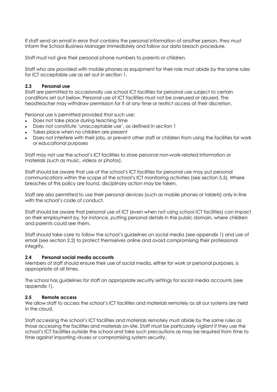If staff send an email in error that contains the personal information of another person, they must inform the School Business Manager immediately and follow our data breach procedure.

Staff must not give their personal phone numbers to parents or children.

Staff who are provided with mobile phones as equipment for their role must abide by the same rules for ICT acceptable use as set out in section 1.

#### **2.3 Personal use**

Staff are permitted to occasionally use school ICT facilities for personal use subject to certain conditions set out below. Personal use of ICT facilities must not be overused or abused. The headteacher may withdraw permission for it at any time or restrict access at their discretion.

Personal use is permitted provided that such use:

- Does not take place during teaching time
- Does not constitute 'unacceptable use', as defined in section 1
- Takes place when no children are present
- Does not interfere with their jobs, or prevent other staff or children from using the facilities for work or educational purposes

Staff may not use the school's ICT facilities to store personal non-work-related information or materials (such as music, videos or photos).

Staff should be aware that use of the school's ICT facilities for personal use may put personal communications within the scope of the school's ICT monitoring activities (see section 5.5). Where breaches of this policy are found, disciplinary action may be taken.

Staff are also permitted to use their personal devices (such as mobile phones or tablets) only in line with the school's code of conduct.

Staff should be aware that personal use of ICT (even when not using school ICT facilities) can impact on their employment by, for instance, putting personal details in the public domain, where children and parents could see them.

Staff should take care to follow the school's guidelines on social media (see appendix 1) and use of email (see section 2.2) to protect themselves online and avoid compromising their professional integrity.

#### **2.4 Personal social media accounts**

Members of staff should ensure their use of social media, either for work or personal purposes, is appropriate at all times.

The school has guidelines for staff on appropriate security settings for social media accounts (see appendix 1).

#### **2.5 Remote access**

We allow staff to access the school's ICT facilities and materials remotely as all our systems are held in the cloud.

Staff accessing the school's ICT facilities and materials remotely must abide by the same rules as those accessing the facilities and materials on-site. Staff must be particularly vigilant if they use the school's ICT facilities outside the school and take such precautions as may be required from time to time against importing viruses or compromising system security.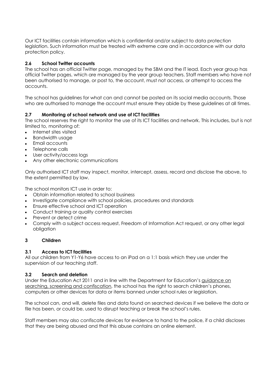Our ICT facilities contain information which is confidential and/or subject to data protection legislation. Such information must be treated with extreme care and in accordance with our data protection policy.

#### **2.6 School Twitter accounts**

The school has an official Twitter page, managed by the SBM and the IT lead. Each year group has official Twitter pages, which are managed by the year group teachers. Staff members who have not been authorised to manage, or post to, the account, must not access, or attempt to access the accounts.

The school has guidelines for what can and cannot be posted on its social media accounts. Those who are authorised to manage the account must ensure they abide by these guidelines at all times.

#### **2.7 Monitoring of school network and use of ICT facilities**

The school reserves the right to monitor the use of its ICT facilities and network. This includes, but is not limited to, monitoring of:

- Internet sites visited
- Bandwidth usage
- Email accounts
- Telephone calls
- User activity/access logs
- Any other electronic communications

Only authorised ICT staff may inspect, monitor, intercept, assess, record and disclose the above, to the extent permitted by law.

The school monitors ICT use in order to:

- Obtain information related to school business
- Investigate compliance with school policies, procedures and standards
- Ensure effective school and ICT operation
- Conduct training or quality control exercises
- Prevent or detect crime
- Comply with a subject access request, Freedom of Information Act request, or any other legal obligation

#### **3 Children**

#### **3.1 Access to ICT facilities**

All our children from Y1-Y6 have access to an iPad on a 1:1 basis which they use under the supervision of our teaching staff.

#### **3.2 Search and deletion**

Under the Education Act 2011 and in line with the Department for Education's guidance on searching, screening and confiscation, the school has the right to search children's phones, computers or other devices for data or items banned under school rules or legislation.

The school can, and will, delete files and data found on searched devices if we believe the data or file has been, or could be, used to disrupt teaching or break the school's rules.

Staff members may also confiscate devices for evidence to hand to the police, if a child discloses that they are being abused and that this abuse contains an online element.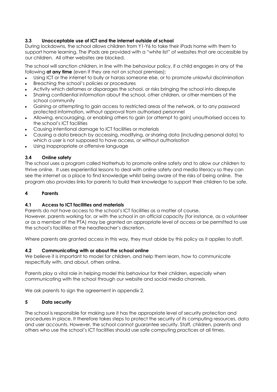#### **3.3 Unacceptable use of ICT and the internet outside of school**

During lockdowns, the school allows children from Y1-Y6 to take their iPads home with them to support home learning. The iPads are provided with a "white list" of websites that are accessible by our children. All other websites are blocked.

The school will sanction children, in line with the behaviour policy, if a child engages in any of the following **at any time** (even if they are not on school premises):

- Using ICT or the internet to bully or harass someone else, or to promote unlawful discrimination
- Breaching the school's policies or procedures
- Activity which defames or disparages the school, or risks bringing the school into disrepute
- Sharing confidential information about the school, other children, or other members of the school community
- Gaining or attempting to gain access to restricted areas of the network, or to any password protected information, without approval from authorised personnel
- Allowing, encouraging, or enabling others to gain (or attempt to gain) unauthorised access to the school's ICT facilities
- Causing intentional damage to ICT facilities or materials
- Causing a data breach by accessing, modifying, or sharing data (including personal data) to which a user is not supposed to have access, or without authorisation
- Using inappropriate or offensive language

#### **3.4 Online safety**

The school uses a program called Natterhub to promote online safety and to allow our children to thrive online. It uses experiential lessons to deal with online safety and media literacy so they can see the internet as a place to find knowledge whilst being aware of the risks of being online. The program also provides links for parents to build their knowledge to support their children to be safe.

#### **4 Parents**

#### **4.1 Access to ICT facilities and materials**

Parents do not have access to the school's ICT facilities as a matter of course.

However, parents working for, or with the school in an official capacity (for instance, as a volunteer or as a member of the PTA) may be granted an appropriate level of access or be permitted to use the school's facilities at the headteacher's discretion.

Where parents are granted access in this way, they must abide by this policy as it applies to staff.

#### **4.2 Communicating with or about the school online**

We believe it is important to model for children, and help them learn, how to communicate respectfully with, and about, others online.

Parents play a vital role in helping model this behaviour for their children, especially when communicating with the school through our website and social media channels.

We ask parents to sign the agreement in appendix 2.

#### **5 Data security**

The school is responsible for making sure it has the appropriate level of security protection and procedures in place. It therefore takes steps to protect the security of its computing resources, data and user accounts. However, the school cannot guarantee security. Staff, children, parents and others who use the school's ICT facilities should use safe computing practices at all times.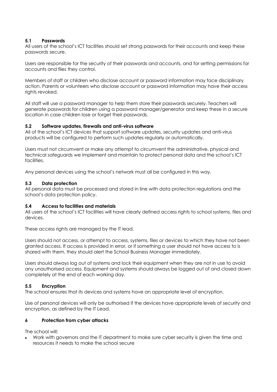#### **5.1 Passwords**

All users of the school's ICT facilities should set strong passwords for their accounts and keep these passwords secure.

Users are responsible for the security of their passwords and accounts, and for setting permissions for accounts and files they control.

Members of staff or children who disclose account or password information may face disciplinary action. Parents or volunteers who disclose account or password information may have their access rights revoked.

All staff will use a password manager to help them store their passwords securely. Teachers will generate passwords for children using a password manager/generator and keep these in a secure location in case children lose or forget their passwords.

#### **5.2 Software updates, firewalls and anti-virus software**

All of the school's ICT devices that support software updates, security updates and anti-virus products will be configured to perform such updates regularly or automatically.

Users must not circumvent or make any attempt to circumvent the administrative, physical and technical safeguards we implement and maintain to protect personal data and the school's ICT facilities.

Any personal devices using the school's network must all be configured in this way.

#### **5.3 Data protection**

All personal data must be processed and stored in line with data protection regulations and the school's data protection policy.

#### **5.4 Access to facilities and materials**

All users of the school's ICT facilities will have clearly defined access rights to school systems, files and devices.

These access rights are managed by the IT lead.

Users should not access, or attempt to access, systems, files or devices to which they have not been granted access. If access is provided in error, or if something a user should not have access to is shared with them, they should alert the School Business Manager immediately.

Users should always log out of systems and lock their equipment when they are not in use to avoid any unauthorised access. Equipment and systems should always be logged out of and closed down completely at the end of each working day.

#### **5.5 Encryption**

The school ensures that its devices and systems have an appropriate level of encryption.

Use of personal devices will only be authorised if the devices have appropriate levels of security and encryption, as defined by the IT Lead.

#### **6 Protection from cyber attacks**

The school will:

• Work with governors and the IT department to make sure cyber security is given the time and resources it needs to make the school secure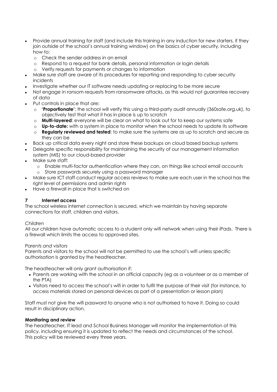- Provide annual training for staff (and include this training in any induction for new starters, if they join outside of the school's annual training window) on the basics of cyber security, including how to:
	- o Check the sender address in an email
	- o Respond to a request for bank details, personal information or login details
	- o Verify requests for payments or changes to information
- Make sure staff are aware of its procedures for reporting and responding to cyber security incidents
- Investigate whether our IT software needs updating or replacing to be more secure
- Not engage in ransom requests from ransomware attacks, as this would not guarantee recovery of data
- Put controls in place that are:
	- o **'Proportionate'**: the school will verify this using a third-party audit annually (360safe.org.uk), to objectively test that what it has in place is up to scratch
	- o **Multi-layered**: everyone will be clear on what to look out for to keep our systems safe
	- o **Up-to-date:** with a system in place to monitor when the school needs to update its software
	- o **Regularly reviewed and tested**: to make sure the systems are as up to scratch and secure as they can be
- Back up critical data every night and store these backups on cloud based backup systems
- Delegate specific responsibility for maintaining the security of our management information system (MIS) to our cloud-based provider
- Make sure staff:
	- o Enable multi-factor authentication where they can, on things like school email accounts o Store passwords securely using a password manager
- Make sure ICT staff conduct regular access reviews to make sure each user in the school has the right level of permissions and admin rights
- Have a firewall in place that is switched on

#### **7 Internet access**

The school wireless internet connection is secured, which we maintain by having separate connections for staff, children and visitors.

#### *Children*

All our children have automatic access to a student only wifi network when using their iPads. There is a firewall which limits the access to approved sites.

#### *Parents and visitors*

Parents and visitors to the school will not be permitted to use the school's wifi unless specific authorisation is granted by the headteacher.

The headteacher will only grant authorisation if:

- Parents are working with the school in an official capacity (eg as a volunteer or as a member of the PTA)
- Visitors need to access the school's wifi in order to fulfil the purpose of their visit (for instance, to access materials stored on personal devices as part of a presentation or lesson plan)

Staff must not give the wifi password to anyone who is not authorised to have it. Doing so could result in disciplinary action.

#### **Monitoring and review**

The headteacher, IT lead and School Business Manager will monitor the implementation of this policy, including ensuring it is updated to reflect the needs and circumstances of the school. This policy will be reviewed every three years.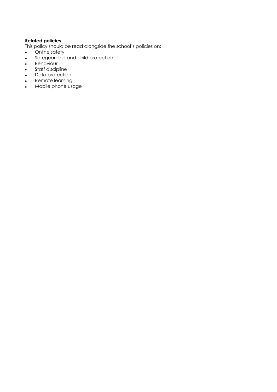## **Related policies**

This policy should be read alongside the school's policies on:

- Online safety
- Safeguarding and child protection
- Behaviour
- Staff discipline
- Data protection
- Remote learning
- Mobile phone usage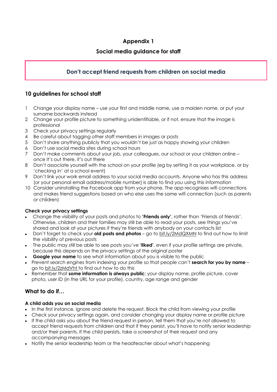## **Social media guidance for staff**

## **Don't accept friend requests from children on social media**

## **10 guidelines for school staff**

- 1 Change your display name use your first and middle name, use a maiden name, or put your surname backwards instead
- 2 Change your profile picture to something unidentifiable, or if not, ensure that the image is professional
- 3 Check your privacy settings regularly
- 4 Be careful about tagging other staff members in images or posts
- 5 Don't share anything publicly that you wouldn't be just as happy showing your children
- 6 Don't use social media sites during school hours
- 7 Don't make comments about your job, your colleagues, our school or your children online once it's out there, it's out there
- 8 Don't associate yourself with the school on your profile (eg by setting it as your workplace, or by 'checking in' at a school event)
- 9 Don't link your work email address to your social media accounts. Anyone who has this address (or your personal email address/mobile number) is able to find you using this information
- 10 Consider uninstalling the Facebook app from your phone. The app recognises wifi connections and makes friend suggestions based on who else uses the same wifi connection (such as parents or children)

#### **Check your privacy settings**

- Change the visibility of your posts and photos to **'Friends only'**, rather than 'Friends of friends'. Otherwise, children and their families may still be able to read your posts, see things you've shared and look at your pictures if they're friends with anybody on your contacts list
- Don't forget to check your **old posts and photos** go to bit.ly/2MdQXMN to find out how to limit the visibility of previous posts
- The public may still be able to see posts you've **'liked'**, even if your profile settings are private, because this depends on the privacy settings of the original poster
- **Google your name** to see what information about you is visible to the public
- Prevent search engines from indexing your profile so that people can't **search for you by name** go to bit.ly/2zMdVht to find out how to do this
- Remember that **some information is always public**; your display name, profile picture, cover photo, user ID (in the URL for your profile), country, age range and gender

## **What to do if…**

#### **A child adds you on social media**

- In the first instance, ignore and delete the request. Block the child from viewing your profile
- Check your privacy settings again, and consider changing your display name or profile picture
- If the child asks you about the friend request in person, tell them that you're not allowed to accept friend requests from children and that if they persist, you'll have to notify senior leadership and/or their parents. If the child persists, take a screenshot of their request and any accompanying messages
- Notify the senior leadership team or the headteacher about what's happening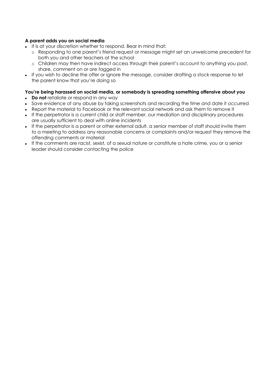#### **A parent adds you on social media**

- It is at your discretion whether to respond. Bear in mind that:
	- o Responding to one parent's friend request or message might set an unwelcome precedent for both you and other teachers at the school
	- o Children may then have indirect access through their parent's account to anything you post, share, comment on or are tagged in
- If you wish to decline the offer or ignore the message, consider drafting a stock response to let the parent know that you're doing so

#### **You're being harassed on social media, or somebody is spreading something offensive about you**

- **Do not** retaliate or respond in any way
- Save evidence of any abuse by taking screenshots and recording the time and date it occurred
- Report the material to Facebook or the relevant social network and ask them to remove it
- If the perpetrator is a current child or staff member, our mediation and disciplinary procedures are usually sufficient to deal with online incidents
- If the perpetrator is a parent or other external adult, a senior member of staff should invite them to a meeting to address any reasonable concerns or complaints and/or request they remove the offending comments or material
- If the comments are racist, sexist, of a sexual nature or constitute a hate crime, you or a senior leader should consider contacting the police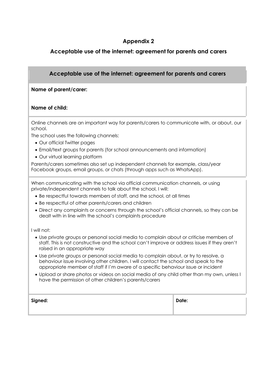## **Acceptable use of the internet: agreement for parents and carers**

## **Acceptable use of the internet: agreement for parents and carers**

#### **Name of parent/carer:**

#### **Name of child:**

Online channels are an important way for parents/carers to communicate with, or about, our school.

The school uses the following channels:

- Our official Twitter pages
- Email/text groups for parents (for school announcements and information)
- Our virtual learning platform

Parents/carers sometimes also set up independent channels for example, class/year Facebook groups, email groups, or chats (through apps such as WhatsApp).

When communicating with the school via official communication channels, or using private/independent channels to talk about the school, I will:

- Be respectful towards members of staff, and the school, at all times
- Be respectful of other parents/carers and children
- Direct any complaints or concerns through the school's official channels, so they can be dealt with in line with the school's complaints procedure

#### I will not:

- Use private groups or personal social media to complain about or criticise members of staff. This is not constructive and the school can't improve or address issues if they aren't raised in an appropriate way
- Use private groups or personal social media to complain about, or try to resolve, a behaviour issue involving other children. I will contact the school and speak to the appropriate member of staff if I'm aware of a specific behaviour issue or incident
- Upload or share photos or videos on social media of any child other than my own, unless I have the permission of other children's parents/carers

| Signed: | Date: |
|---------|-------|
|         |       |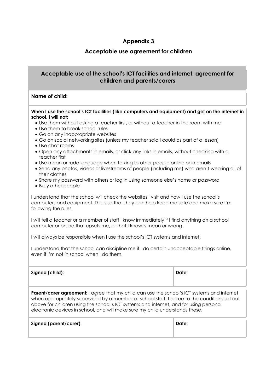## **Acceptable use agreement for children**

## **Acceptable use of the school's ICT facilities and internet: agreement for children and parents/carers**

#### **Name of child:**

#### **When I use the school's ICT facilities (like computers and equipment) and get on the internet in school, I will not:**

- Use them without asking a teacher first, or without a teacher in the room with me
- Use them to break school rules
- Go on any inappropriate websites
- Go on social networking sites (unless my teacher said I could as part of a lesson)
- Use chat rooms
- Open any attachments in emails, or click any links in emails, without checking with a teacher first
- Use mean or rude language when talking to other people online or in emails
- Send any photos, videos or livestreams of people (including me) who aren't wearing all of their clothes
- Share my password with others or log in using someone else's name or password
- Bully other people

I understand that the school will check the websites I visit and how I use the school's computers and equipment. This is so that they can help keep me safe and make sure I'm following the rules.

I will tell a teacher or a member of staff I know immediately if I find anything on a school computer or online that upsets me, or that I know is mean or wrong.

I will always be responsible when I use the school's ICT systems and internet.

I understand that the school can discipline me if I do certain unacceptable things online, even if I'm not in school when I do them.

| Signed (child):                                                                                    | Date: |
|----------------------------------------------------------------------------------------------------|-------|
| <b>Parent/carer agreement:</b> I agree that my child can use the school's ICT systems and internet |       |

when appropriately supervised by a member of school staff. I agree to the conditions set out above for children using the school's ICT systems and internet, and for using personal electronic devices in school, and will make sure my child understands these.

| Signed (parent/carer): | Date: |
|------------------------|-------|
|                        |       |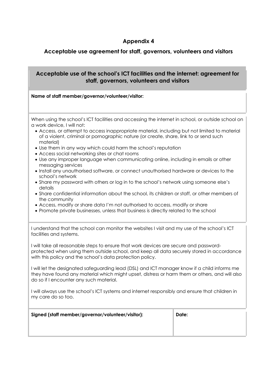## **Acceptable use agreement for staff, governors, volunteers and visitors**

## **Acceptable use of the school's ICT facilities and the internet: agreement for staff, governors, volunteers and visitors**

#### **Name of staff member/governor/volunteer/visitor:**

When using the school's ICT facilities and accessing the internet in school, or outside school on a work device, I will not:

- Access, or attempt to access inappropriate material, including but not limited to material of a violent, criminal or pornographic nature (or create, share, link to or send such material)
- Use them in any way which could harm the school's reputation
- Access social networking sites or chat rooms
- Use any improper language when communicating online, including in emails or other messaging services
- Install any unauthorised software, or connect unauthorised hardware or devices to the school's network
- Share my password with others or log in to the school's network using someone else's details
- Share confidential information about the school, its children or staff, or other members of the community
- Access, modify or share data I'm not authorised to access, modify or share
- Promote private businesses, unless that business is directly related to the school

I understand that the school can monitor the websites I visit and my use of the school's ICT facilities and systems.

I will take all reasonable steps to ensure that work devices are secure and passwordprotected when using them outside school, and keep all data securely stored in accordance with this policy and the school's data protection policy.

I will let the designated safeguarding lead (DSL) and ICT manager know if a child informs me they have found any material which might upset, distress or harm them or others, and will also do so if I encounter any such material.

I will always use the school's ICT systems and internet responsibly and ensure that children in my care do so too.

| Signed (staff member/governor/volunteer/visitor): | Date: |
|---------------------------------------------------|-------|
|                                                   |       |
|                                                   |       |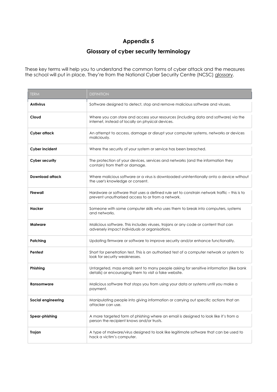## **Glossary of cyber security terminology**

These key terms will help you to understand the common forms of cyber attack and the measures the school will put in place. They're from the National Cyber Security Centre (NCSC) glossary.

| <b>TERM</b>            | <b>DEFINITION</b>                                                                                                                                |
|------------------------|--------------------------------------------------------------------------------------------------------------------------------------------------|
| Antivirus              | Software designed to detect, stop and remove malicious software and viruses.                                                                     |
| Cloud                  | Where you can store and access your resources (including data and software) via the<br>internet, instead of locally on physical devices.         |
| Cyber attack           | An attempt to access, damage or disrupt your computer systems, networks or devices<br>maliciously.                                               |
| Cyber incident         | Where the security of your system or service has been breached.                                                                                  |
| <b>Cyber security</b>  | The protection of your devices, services and networks (and the information they<br>contain) from theft or damage.                                |
| <b>Download attack</b> | Where malicious software or a virus is downloaded unintentionally onto a device without<br>the user's knowledge or consent.                      |
| Firewall               | Hardware or software that uses a defined rule set to constrain network traffic – this is to<br>prevent unauthorised access to or from a network. |
| Hacker                 | Someone with some computer skills who uses them to break into computers, systems<br>and networks.                                                |
| <b>Malware</b>         | Malicious software. This includes viruses, trojans or any code or content that can<br>adversely impact individuals or organisations.             |
| Patching               | Updating firmware or software to improve security and/or enhance functionality.                                                                  |
| Pentest                | Short for penetration test. This is an authorised test of a computer network or system to<br>look for security weaknesses.                       |
| Phishing               | Untargeted, mass emails sent to many people asking for sensitive information (like bank<br>details) or encouraging them to visit a fake website. |
| Ransomware             | Malicious software that stops you from using your data or systems until you make a<br>payment.                                                   |
| Social engineering     | Manipulating people into giving information or carrying out specific actions that an<br>attacker can use.                                        |
| Spear-phishing         | A more targeted form of phishing where an email is designed to look like it's from a<br>person the recipient knows and/or trusts.                |
| Trojan                 | A type of malware/virus designed to look like legitimate software that can be used to<br>hack a victim's computer.                               |